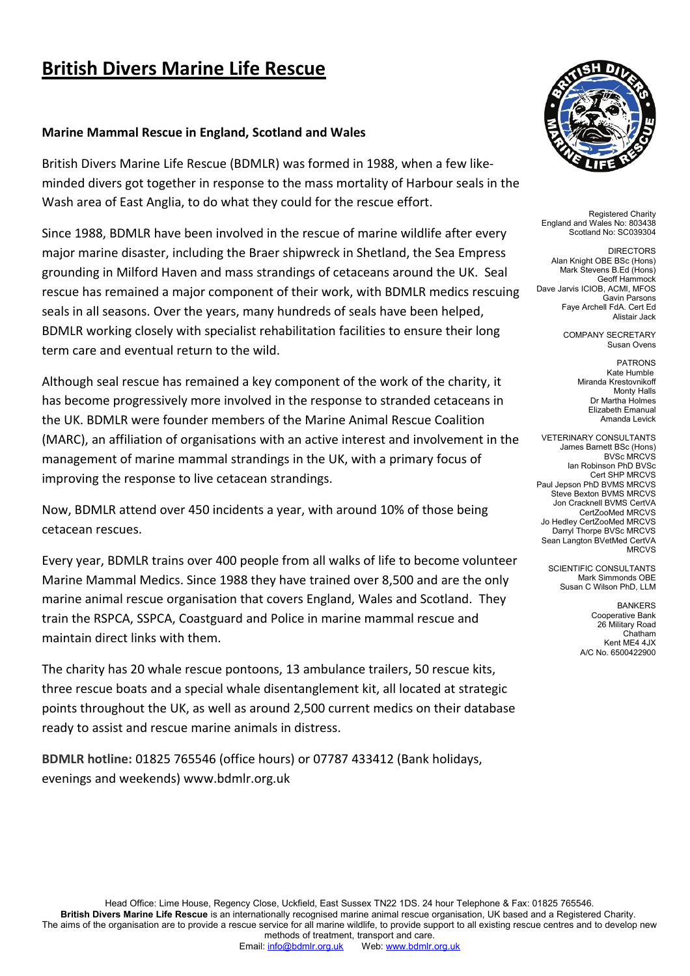### **Marine Mammal Rescue in England, Scotland and Wales**

British Divers Marine Life Rescue (BDMLR) was formed in 1988, when a few likeminded divers got together in response to the mass mortality of Harbour seals in the Wash area of East Anglia, to do what they could for the rescue effort.

Since 1988, BDMLR have been involved in the rescue of marine wildlife after every major marine disaster, including the Braer shipwreck in Shetland, the Sea Empress grounding in Milford Haven and mass strandings of cetaceans around the UK. Seal rescue has remained a major component of their work, with BDMLR medics rescuing seals in all seasons. Over the years, many hundreds of seals have been helped, BDMLR working closely with specialist rehabilitation facilities to ensure their long term care and eventual return to the wild.

Although seal rescue has remained a key component of the work of the charity, it has become progressively more involved in the response to stranded cetaceans in the UK. BDMLR were founder members of the Marine Animal Rescue Coalition (MARC), an affiliation of organisations with an active interest and involvement in the management of marine mammal strandings in the UK, with a primary focus of improving the response to live cetacean strandings.

Now, BDMLR attend over 450 incidents a year, with around 10% of those being cetacean rescues.

Every year, BDMLR trains over 400 people from all walks of life to become volunteer Marine Mammal Medics. Since 1988 they have trained over 8,500 and are the only marine animal rescue organisation that covers England, Wales and Scotland. They train the RSPCA, SSPCA, Coastguard and Police in marine mammal rescue and maintain direct links with them.

The charity has 20 whale rescue pontoons, 13 ambulance trailers, 50 rescue kits, three rescue boats and a special whale disentanglement kit, all located at strategic points throughout the UK, as well as around 2,500 current medics on their database ready to assist and rescue marine animals in distress.

**BDMLR hotline:** 01825 765546 (office hours) or 07787 433412 (Bank holidays, evenings and weekends) www.bdmlr.org.uk



Registered Charity England and Wales No: 803438 Scotland No: SC039304

**DIRECTORS** Alan Knight OBE BSc (Hons) Mark Stevens B.Ed (Hons) Geoff Hammock Dave Jarvis ICIOB, ACMI, MFOS Gavin Parsons Faye Archell FdA. Cert Ed Alistair Jack

> COMPANY SECRETARY Susan Ovens

**PATRONS** Kate Humble Miranda Krestovnikoff Monty Halls Dr Martha Holmes Elizabeth Emanual Amanda Levick

VETERINARY CONSULTANTS James Barnett BSc (Hons) BVSc MRCVS Ian Robinson PhD BVSc Cert SHP MRCVS Paul Jepson PhD BVMS MRCVS Steve Bexton BVMS MRCVS Jon Cracknell BVMS CertVA CertZooMed MRCVS Jo Hedley CertZooMed MRCVS Darryl Thorpe BVSc MRCVS Sean Langton BVetMed CertVA MRCVS

SCIENTIFIC CONSULTANTS Mark Simmonds OBE Susan C Wilson PhD, LLM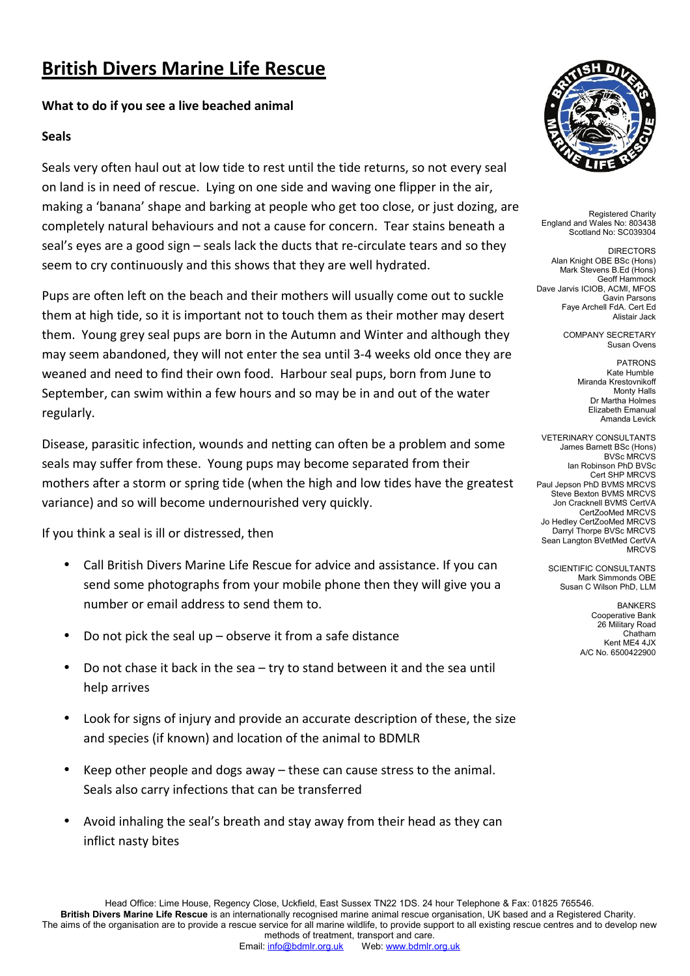### **What to do if you see a live beached animal**

### **Seals**

Seals very often haul out at low tide to rest until the tide returns, so not every seal on land is in need of rescue. Lying on one side and waving one flipper in the air, making a 'banana' shape and barking at people who get too close, or just dozing, are completely natural behaviours and not a cause for concern. Tear stains beneath a seal's eyes are a good sign – seals lack the ducts that re-circulate tears and so they seem to cry continuously and this shows that they are well hydrated.

Pups are often left on the beach and their mothers will usually come out to suckle them at high tide, so it is important not to touch them as their mother may desert them. Young grey seal pups are born in the Autumn and Winter and although they may seem abandoned, they will not enter the sea until 3-4 weeks old once they are weaned and need to find their own food. Harbour seal pups, born from June to September, can swim within a few hours and so may be in and out of the water regularly.

Disease, parasitic infection, wounds and netting can often be a problem and some seals may suffer from these. Young pups may become separated from their mothers after a storm or spring tide (when the high and low tides have the greatest variance) and so will become undernourished very quickly.

If you think a seal is ill or distressed, then

- Call British Divers Marine Life Rescue for advice and assistance. If you can send some photographs from your mobile phone then they will give you a number or email address to send them to.
- Do not pick the seal up observe it from a safe distance
- Do not chase it back in the sea try to stand between it and the sea until help arrives
- Look for signs of injury and provide an accurate description of these, the size and species (if known) and location of the animal to BDMLR
- Keep other people and dogs away these can cause stress to the animal. Seals also carry infections that can be transferred
- Avoid inhaling the seal's breath and stay away from their head as they can inflict nasty bites



Registered Charity England and Wales No: 803438 Scotland No: SC039304

**DIRECTORS** Alan Knight OBE BSc (Hons) Mark Stevens B.Ed (Hons) Geoff Hammock Dave Jarvis ICIOB, ACMI, MFOS Gavin Parsons Faye Archell FdA. Cert Ed Alistair Jack

> COMPANY SECRETARY Susan Ovens

> > **PATRONS** Kate Humble Miranda Krestovnikoff Monty Halls Dr Martha Holmes Elizabeth Emanual Amanda Levick

VETERINARY CONSULTANTS James Barnett BSc (Hons) BVSc MRCVS Ian Robinson PhD BVSc Cert SHP MRCVS Paul Jepson PhD BVMS MRCVS Steve Bexton BVMS MRCVS Jon Cracknell BVMS CertVA CertZooMed MRCVS Jo Hedley CertZooMed MRCVS Darryl Thorpe BVSc MRCVS Sean Langton BVetMed CertVA MRCVS

SCIENTIFIC CONSULTANTS Mark Simmonds OBE Susan C Wilson PhD, LLM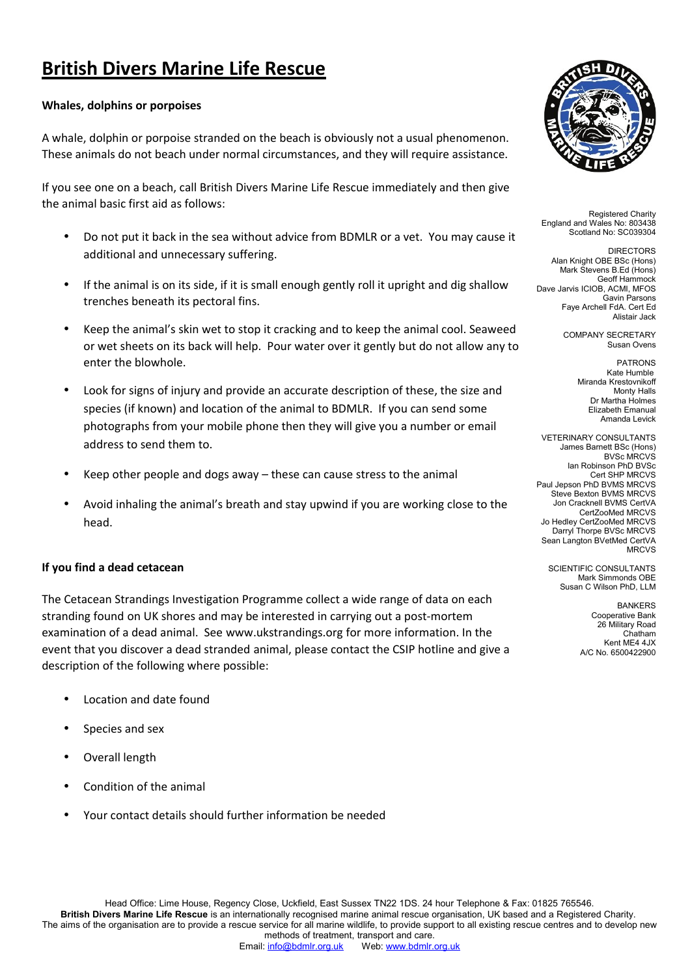#### **Whales, dolphins or porpoises**

A whale, dolphin or porpoise stranded on the beach is obviously not a usual phenomenon. These animals do not beach under normal circumstances, and they will require assistance.

If you see one on a beach, call British Divers Marine Life Rescue immediately and then give the animal basic first aid as follows:

- Do not put it back in the sea without advice from BDMLR or a vet. You may cause it additional and unnecessary suffering.
- If the animal is on its side, if it is small enough gently roll it upright and dig shallow trenches beneath its pectoral fins.
- Keep the animal's skin wet to stop it cracking and to keep the animal cool. Seaweed or wet sheets on its back will help. Pour water over it gently but do not allow any to enter the blowhole.
- Look for signs of injury and provide an accurate description of these, the size and species (if known) and location of the animal to BDMLR. If you can send some photographs from your mobile phone then they will give you a number or email address to send them to.
- Keep other people and dogs away these can cause stress to the animal
- Avoid inhaling the animal's breath and stay upwind if you are working close to the head.

#### **If you find a dead cetacean**

The Cetacean Strandings Investigation Programme collect a wide range of data on each stranding found on UK shores and may be interested in carrying out a post-mortem examination of a dead animal. See www.ukstrandings.org for more information. In the event that you discover a dead stranded animal, please contact the CSIP hotline and give a description of the following where possible:

- Location and date found
- Species and sex
- Overall length
- Condition of the animal
- Your contact details should further information be needed



Registered Charity England and Wales No: 803438 Scotland No: SC039304

**DIRECTORS** Alan Knight OBE BSc (Hons) Mark Stevens B.Ed (Hons) Geoff Hammock Dave Jarvis ICIOB, ACMI, MFOS Gavin Parsons Faye Archell FdA. Cert Ed Alistair Jack

> COMPANY SECRETARY Susan Ovens

> > **PATRONS** Kate Humble Miranda Krestovnikoff Monty Halls Dr Martha Holmes Elizabeth Emanual Amanda Levick

VETERINARY CONSULTANTS James Barnett BSc (Hons) BVSc MRCVS Ian Robinson PhD BVSc Cert SHP MRCVS Paul Jepson PhD BVMS MRCVS Steve Bexton BVMS MRCVS Jon Cracknell BVMS CertVA CertZooMed MRCVS Jo Hedley CertZooMed MRCVS Darryl Thorpe BVSc MRCVS Sean Langton BVetMed CertVA MRCVS

SCIENTIFIC CONSULTANTS Mark Simmonds OBE Susan C Wilson PhD, LLM